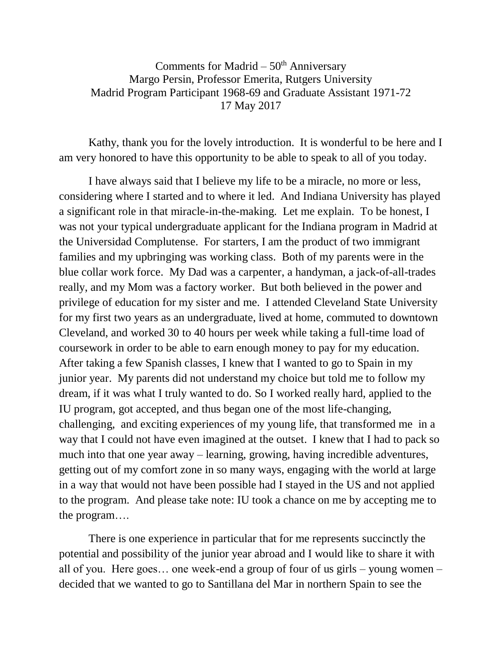Comments for Madrid  $-50<sup>th</sup>$  Anniversary Margo Persin, Professor Emerita, Rutgers University Madrid Program Participant 1968-69 and Graduate Assistant 1971-72 17 May 2017

Kathy, thank you for the lovely introduction. It is wonderful to be here and I am very honored to have this opportunity to be able to speak to all of you today.

 I have always said that I believe my life to be a miracle, no more or less, considering where I started and to where it led. And Indiana University has played a significant role in that miracle-in-the-making. Let me explain. To be honest, I was not your typical undergraduate applicant for the Indiana program in Madrid at the Universidad Complutense. For starters, I am the product of two immigrant families and my upbringing was working class. Both of my parents were in the blue collar work force. My Dad was a carpenter, a handyman, a jack-of-all-trades really, and my Mom was a factory worker. But both believed in the power and privilege of education for my sister and me. I attended Cleveland State University for my first two years as an undergraduate, lived at home, commuted to downtown Cleveland, and worked 30 to 40 hours per week while taking a full-time load of coursework in order to be able to earn enough money to pay for my education. After taking a few Spanish classes, I knew that I wanted to go to Spain in my junior year. My parents did not understand my choice but told me to follow my dream, if it was what I truly wanted to do. So I worked really hard, applied to the IU program, got accepted, and thus began one of the most life-changing, challenging, and exciting experiences of my young life, that transformed me in a way that I could not have even imagined at the outset. I knew that I had to pack so much into that one year away – learning, growing, having incredible adventures, getting out of my comfort zone in so many ways, engaging with the world at large in a way that would not have been possible had I stayed in the US and not applied to the program. And please take note: IU took a chance on me by accepting me to the program….

 There is one experience in particular that for me represents succinctly the potential and possibility of the junior year abroad and I would like to share it with all of you. Here goes… one week-end a group of four of us girls – young women – decided that we wanted to go to Santillana del Mar in northern Spain to see the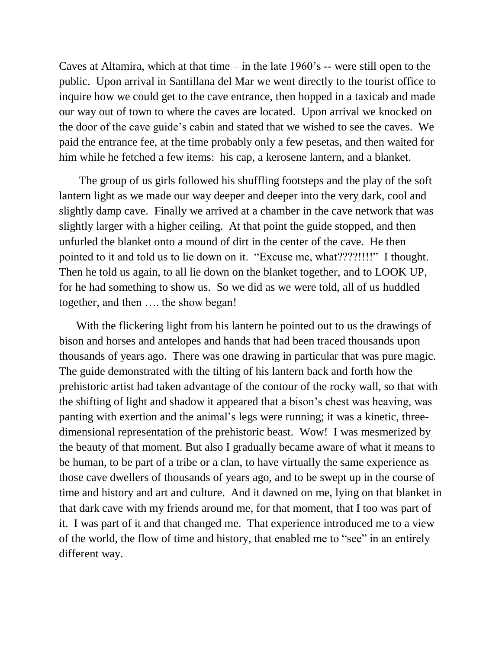Caves at Altamira, which at that time – in the late 1960's -- were still open to the public. Upon arrival in Santillana del Mar we went directly to the tourist office to inquire how we could get to the cave entrance, then hopped in a taxicab and made our way out of town to where the caves are located. Upon arrival we knocked on the door of the cave guide's cabin and stated that we wished to see the caves. We paid the entrance fee, at the time probably only a few pesetas, and then waited for him while he fetched a few items: his cap, a kerosene lantern, and a blanket.

 The group of us girls followed his shuffling footsteps and the play of the soft lantern light as we made our way deeper and deeper into the very dark, cool and slightly damp cave. Finally we arrived at a chamber in the cave network that was slightly larger with a higher ceiling. At that point the guide stopped, and then unfurled the blanket onto a mound of dirt in the center of the cave. He then pointed to it and told us to lie down on it. "Excuse me, what????!!!!" I thought. Then he told us again, to all lie down on the blanket together, and to LOOK UP, for he had something to show us. So we did as we were told, all of us huddled together, and then …. the show began!

 With the flickering light from his lantern he pointed out to us the drawings of bison and horses and antelopes and hands that had been traced thousands upon thousands of years ago. There was one drawing in particular that was pure magic. The guide demonstrated with the tilting of his lantern back and forth how the prehistoric artist had taken advantage of the contour of the rocky wall, so that with the shifting of light and shadow it appeared that a bison's chest was heaving, was panting with exertion and the animal's legs were running; it was a kinetic, threedimensional representation of the prehistoric beast. Wow! I was mesmerized by the beauty of that moment. But also I gradually became aware of what it means to be human, to be part of a tribe or a clan, to have virtually the same experience as those cave dwellers of thousands of years ago, and to be swept up in the course of time and history and art and culture. And it dawned on me, lying on that blanket in that dark cave with my friends around me, for that moment, that I too was part of it. I was part of it and that changed me. That experience introduced me to a view of the world, the flow of time and history, that enabled me to "see" in an entirely different way.